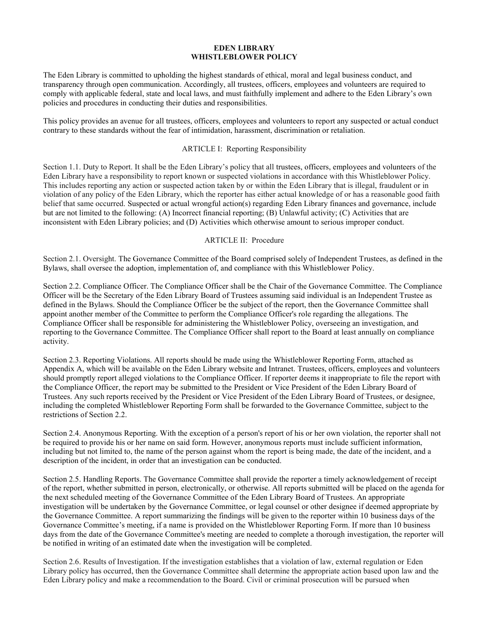### **EDEN LIBRARY WHISTLEBLOWER POLICY**

The Eden Library is committed to upholding the highest standards of ethical, moral and legal business conduct, and transparency through open communication. Accordingly, all trustees, officers, employees and volunteers are required to comply with applicable federal, state and local laws, and must faithfully implement and adhere to the Eden Library's own policies and procedures in conducting their duties and responsibilities.

This policy provides an avenue for all trustees, officers, employees and volunteers to report any suspected or actual conduct contrary to these standards without the fear of intimidation, harassment, discrimination or retaliation.

### ARTICLE I: Reporting Responsibility

Section 1.1. Duty to Report. It shall be the Eden Library's policy that all trustees, officers, employees and volunteers of the Eden Library have a responsibility to report known or suspected violations in accordance with this Whistleblower Policy. This includes reporting any action or suspected action taken by or within the Eden Library that is illegal, fraudulent or in violation of any policy of the Eden Library, which the reporter has either actual knowledge of or has a reasonable good faith belief that same occurred. Suspected or actual wrongful action(s) regarding Eden Library finances and governance, include but are not limited to the following: (A) Incorrect financial reporting; (B) Unlawful activity; (C) Activities that are inconsistent with Eden Library policies; and (D) Activities which otherwise amount to serious improper conduct.

### ARTICLE II: Procedure

Section 2.1. Oversight. The Governance Committee of the Board comprised solely of Independent Trustees, as defined in the Bylaws, shall oversee the adoption, implementation of, and compliance with this Whistleblower Policy.

Section 2.2. Compliance Officer. The Compliance Officer shall be the Chair of the Governance Committee. The Compliance Officer will be the Secretary of the Eden Library Board of Trustees assuming said individual is an Independent Trustee as defined in the Bylaws. Should the Compliance Officer be the subject of the report, then the Governance Committee shall appoint another member of the Committee to perform the Compliance Officer's role regarding the allegations. The Compliance Officer shall be responsible for administering the Whistleblower Policy, overseeing an investigation, and reporting to the Governance Committee. The Compliance Officer shall report to the Board at least annually on compliance activity.

Section 2.3. Reporting Violations. All reports should be made using the Whistleblower Reporting Form, attached as Appendix A, which will be available on the Eden Library website and Intranet. Trustees, officers, employees and volunteers should promptly report alleged violations to the Compliance Officer. If reporter deems it inappropriate to file the report with the Compliance Officer, the report may be submitted to the President or Vice President of the Eden Library Board of Trustees. Any such reports received by the President or Vice President of the Eden Library Board of Trustees, or designee, including the completed Whistleblower Reporting Form shall be forwarded to the Governance Committee, subject to the restrictions of Section 2.2.

Section 2.4. Anonymous Reporting. With the exception of a person's report of his or her own violation, the reporter shall not be required to provide his or her name on said form. However, anonymous reports must include sufficient information, including but not limited to, the name of the person against whom the report is being made, the date of the incident, and a description of the incident, in order that an investigation can be conducted.

Section 2.5. Handling Reports. The Governance Committee shall provide the reporter a timely acknowledgement of receipt of the report, whether submitted in person, electronically, or otherwise. All reports submitted will be placed on the agenda for the next scheduled meeting of the Governance Committee of the Eden Library Board of Trustees. An appropriate investigation will be undertaken by the Governance Committee, or legal counsel or other designee if deemed appropriate by the Governance Committee. A report summarizing the findings will be given to the reporter within 10 business days of the Governance Committee's meeting, if a name is provided on the Whistleblower Reporting Form. If more than 10 business days from the date of the Governance Committee's meeting are needed to complete a thorough investigation, the reporter will be notified in writing of an estimated date when the investigation will be completed.

Section 2.6. Results of Investigation. If the investigation establishes that a violation of law, external regulation or Eden Library policy has occurred, then the Governance Committee shall determine the appropriate action based upon law and the Eden Library policy and make a recommendation to the Board. Civil or criminal prosecution will be pursued when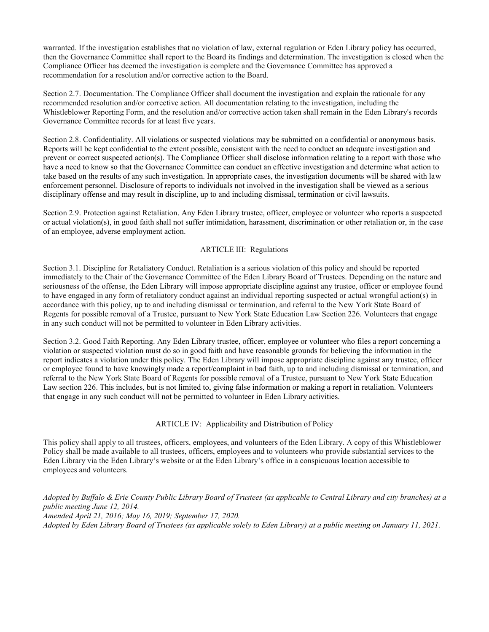warranted. If the investigation establishes that no violation of law, external regulation or Eden Library policy has occurred, then the Governance Committee shall report to the Board its findings and determination. The investigation is closed when the Compliance Officer has deemed the investigation is complete and the Governance Committee has approved a recommendation for a resolution and/or corrective action to the Board.

Section 2.7. Documentation. The Compliance Officer shall document the investigation and explain the rationale for any recommended resolution and/or corrective action. All documentation relating to the investigation, including the Whistleblower Reporting Form, and the resolution and/or corrective action taken shall remain in the Eden Library's records Governance Committee records for at least five years.

Section 2.8. Confidentiality. All violations or suspected violations may be submitted on a confidential or anonymous basis. Reports will be kept confidential to the extent possible, consistent with the need to conduct an adequate investigation and prevent or correct suspected action(s). The Compliance Officer shall disclose information relating to a report with those who have a need to know so that the Governance Committee can conduct an effective investigation and determine what action to take based on the results of any such investigation. In appropriate cases, the investigation documents will be shared with law enforcement personnel. Disclosure of reports to individuals not involved in the investigation shall be viewed as a serious disciplinary offense and may result in discipline, up to and including dismissal, termination or civil lawsuits.

Section 2.9. Protection against Retaliation. Any Eden Library trustee, officer, employee or volunteer who reports a suspected or actual violation(s), in good faith shall not suffer intimidation, harassment, discrimination or other retaliation or, in the case of an employee, adverse employment action.

## ARTICLE III: Regulations

Section 3.1. Discipline for Retaliatory Conduct. Retaliation is a serious violation of this policy and should be reported immediately to the Chair of the Governance Committee of the Eden Library Board of Trustees. Depending on the nature and seriousness of the offense, the Eden Library will impose appropriate discipline against any trustee, officer or employee found to have engaged in any form of retaliatory conduct against an individual reporting suspected or actual wrongful action(s) in accordance with this policy, up to and including dismissal or termination, and referral to the New York State Board of Regents for possible removal of a Trustee, pursuant to New York State Education Law Section 226. Volunteers that engage in any such conduct will not be permitted to volunteer in Eden Library activities.

Section 3.2. Good Faith Reporting. Any Eden Library trustee, officer, employee or volunteer who files a report concerning a violation or suspected violation must do so in good faith and have reasonable grounds for believing the information in the report indicates a violation under this policy. The Eden Library will impose appropriate discipline against any trustee, officer or employee found to have knowingly made a report/complaint in bad faith, up to and including dismissal or termination, and referral to the New York State Board of Regents for possible removal of a Trustee, pursuant to New York State Education Law section 226. This includes, but is not limited to, giving false information or making a report in retaliation. Volunteers that engage in any such conduct will not be permitted to volunteer in Eden Library activities.

### ARTICLE IV: Applicability and Distribution of Policy

This policy shall apply to all trustees, officers, employees, and volunteers of the Eden Library. A copy of this Whistleblower Policy shall be made available to all trustees, officers, employees and to volunteers who provide substantial services to the Eden Library via the Eden Library's website or at the Eden Library's office in a conspicuous location accessible to employees and volunteers.

*Adopted by Buffalo & Erie County Public Library Board of Trustees (as applicable to Central Library and city branches) at a public meeting June 12, 2014. Amended April 21, 2016; May 16, 2019; September 17, 2020. Adopted by Eden Library Board of Trustees (as applicable solely to Eden Library) at a public meeting on January 11, 2021.*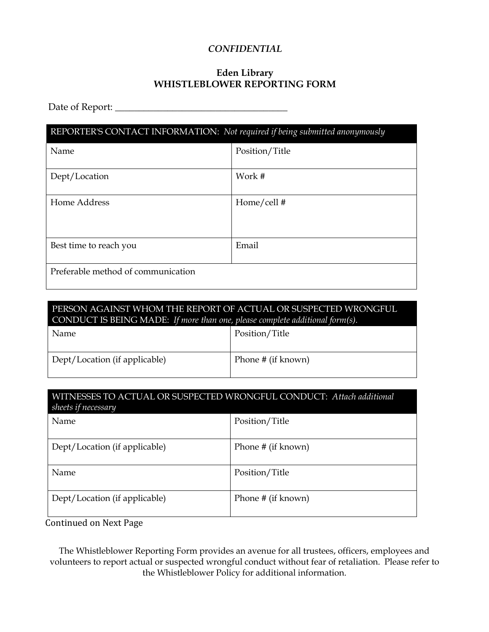# *CONFIDENTIAL*

# **Eden Library WHISTLEBLOWER REPORTING FORM**

Date of Report: \_\_\_\_\_\_\_\_\_\_\_\_\_\_\_\_\_\_\_\_\_\_\_\_\_\_\_\_\_\_\_\_\_\_\_\_

| REPORTER'S CONTACT INFORMATION: Not required if being submitted anonymously |                |  |
|-----------------------------------------------------------------------------|----------------|--|
| Name                                                                        | Position/Title |  |
| Dept/Location                                                               | Work #         |  |
| Home Address                                                                | Home/cell#     |  |
| Best time to reach you                                                      | Email          |  |
| Preferable method of communication                                          |                |  |

# PERSON AGAINST WHOM THE REPORT OF ACTUAL OR SUSPECTED WRONGFUL CONDUCT IS BEING MADE: *If more than one, please complete additional form(s).*

| Name                          | Position/Title     |
|-------------------------------|--------------------|
| Dept/Location (if applicable) | Phone # (if known) |

| WITNESSES TO ACTUAL OR SUSPECTED WRONGFUL CONDUCT: Attach additional<br>sheets if necessary |                    |  |
|---------------------------------------------------------------------------------------------|--------------------|--|
| Name                                                                                        | Position/Title     |  |
| Dept/Location (if applicable)                                                               | Phone # (if known) |  |
| Name                                                                                        | Position/Title     |  |
| Dept/Location (if applicable)                                                               | Phone # (if known) |  |

Continued on Next Page

The Whistleblower Reporting Form provides an avenue for all trustees, officers, employees and volunteers to report actual or suspected wrongful conduct without fear of retaliation. Please refer to the Whistleblower Policy for additional information.